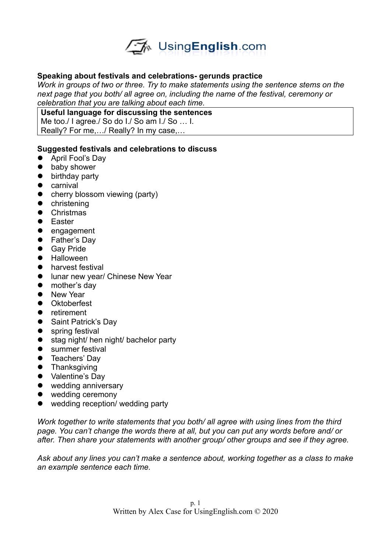

## **Speaking about festivals and celebrations- gerunds practice**

*Work in groups of two or three. Try to make statements using the sentence stems on the next page that you both/ all agree on, including the name of the festival, ceremony or celebration that you are talking about each time.* 

**Useful language for discussing the sentences**

Me too./ I agree./ So do I./ So am I./ So ... I.

Really? For me,…/ Really? In my case,…

## **Suggested festivals and celebrations to discuss**

- April Fool's Dav
- **•** baby shower
- **•** birthday party
- **•** carnival
- cherry blossom viewing (party)
- **•** christening
- **•** Christmas
- **•** Easter
- engagement
- Father's Day
- **•** Gav Pride
- **•** Halloween
- **•** harvest festival
- **•** lunar new year/ Chinese New Year
- mother's day
- New Year
- Oktoberfest
- **•** retirement
- Saint Patrick's Day
- **•** spring festival
- stag night/ hen night/ bachelor party
- summer festival
- **•** Teachers' Day
- **•** Thanksgiving
- Valentine's Day
- wedding anniversary
- wedding ceremony
- wedding reception/ wedding party

*Work together to write statements that you both/ all agree with using lines from the third page. You can't change the words there at all, but you can put any words before and/ or after. Then share your statements with another group/ other groups and see if they agree.* 

*Ask about any lines you can't make a sentence about, working together as a class to make an example sentence each time.*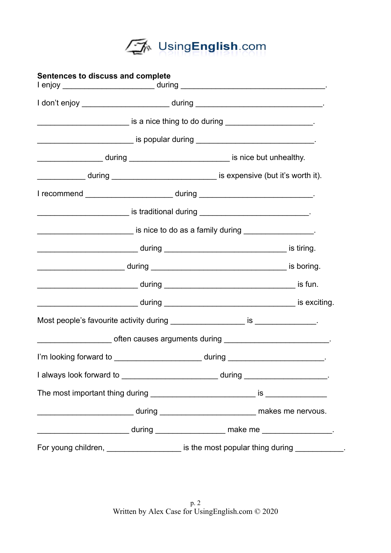

| Sentences to discuss and complete |                                                                                                   |
|-----------------------------------|---------------------------------------------------------------------------------------------------|
|                                   |                                                                                                   |
|                                   | <u>_________________________</u> is a nice thing to do during _______________________.            |
|                                   |                                                                                                   |
|                                   | ______________________during _________________________________ is nice but unhealthy.             |
|                                   | during ______________ during __________________________________ is expensive (but it's worth it). |
|                                   | I recommend ________________________________during ______________________________                 |
|                                   |                                                                                                   |
|                                   | is nice to do as a family during _____________.                                                   |
|                                   |                                                                                                   |
|                                   |                                                                                                   |
|                                   |                                                                                                   |
|                                   |                                                                                                   |
|                                   |                                                                                                   |
|                                   | ___________________________ often causes arguments during ______________________________.         |
|                                   | I'm looking forward to ___________________________during _______________________                  |
|                                   | I always look forward to ________________________________during _______________________.          |
|                                   |                                                                                                   |
|                                   |                                                                                                   |
|                                   |                                                                                                   |
|                                   | For young children, ______________________ is the most popular thing during ____________.         |